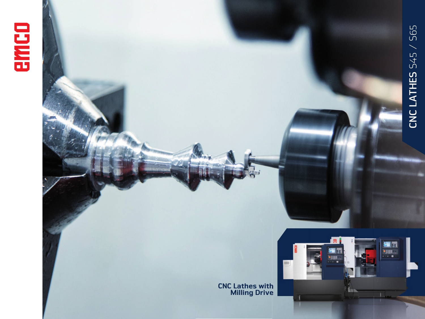



EI

画 . . . . .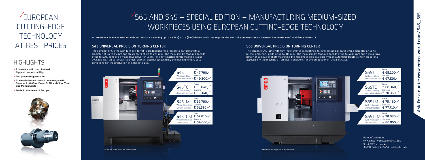EUROPEAN CUTTING-EDGE TECHNOLOGY AT BEST PRICES

# $\sqrt{565}$  AND S45 – SPECIAL EDITION – MANUFACTURING MEDIUM-SIZED WORKPIECES USING EUROPEAN CUTTING-EDGE TECHNOLOGY

**Alternatively available with or without tailstock including up to 6 (S45) or 12 (S65) driven tools. As regards the control, you may choose between Sinumerik 828D and Fanuc Series 0i.**

## **S45 UNIVERSAL PRECISION TURNING CENTER**

The compact CNC lathe with turn-mill turret is predestined for processing bar parts with a diameter of up to 65 mm and chuck parts of up to 310 mm. The main spindle features speeds of up to 4200 rpm and a main drive power of 18 kW. For shaft machining the machine is also available with an automatic tailstock. With an optimal<br>accessibility the machine offers best conditions for the production of small lot sizes.

The compact CNC lathe with turn-mill turret is predestined for processing bar parts with a diameter of up to 45 mm and chuck parts of up to 220 mm. The main spindle features speeds of up to 6300 rpm and a main drive power of 11 kW. For shaft machining the machine is also available with an automatic tailstock. With an optimal accessibility the machine offers best accessibility the machine offers best conditions for the production of small lot sizes. conditions for the production of small lot sizes.

### **S65 UNIVERSAL PRECISION TURNING CENTER**

- / Extremely solid machine bed, highest thermostability
- / Top processing precision
- / State-of-the-art control technology with Sinumerik 828D or Fanuc Oi TD with ShopTurn and ManualGuide i
- / Made in the Heart of Europe